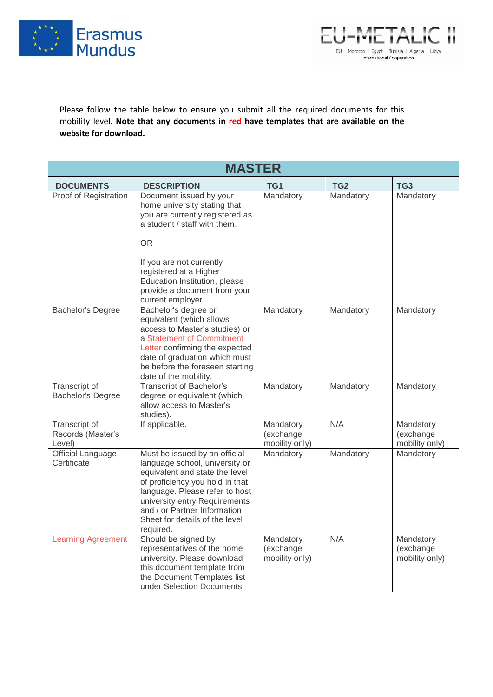



Please follow the table below to ensure you submit all the required documents for this mobility level. **Note that any documents in red have templates that are available on the website for download.**

| <b>MASTER</b>                                       |                                                                                                                                                                                                                                                                                        |                                          |           |                                          |  |  |  |
|-----------------------------------------------------|----------------------------------------------------------------------------------------------------------------------------------------------------------------------------------------------------------------------------------------------------------------------------------------|------------------------------------------|-----------|------------------------------------------|--|--|--|
| <b>DOCUMENTS</b>                                    | <b>DESCRIPTION</b>                                                                                                                                                                                                                                                                     | TG1                                      | TG2       | TG <sub>3</sub>                          |  |  |  |
| Proof of Registration                               | Document issued by your<br>home university stating that<br>you are currently registered as<br>a student / staff with them.                                                                                                                                                             | Mandatory                                | Mandatory | Mandatory                                |  |  |  |
|                                                     | OR.<br>If you are not currently<br>registered at a Higher<br>Education Institution, please<br>provide a document from your<br>current employer.                                                                                                                                        |                                          |           |                                          |  |  |  |
| Bachelor's Degree                                   | Bachelor's degree or<br>equivalent (which allows<br>access to Master's studies) or<br>a Statement of Commitment<br>Letter confirming the expected<br>date of graduation which must<br>be before the foreseen starting<br>date of the mobility.                                         | Mandatory                                | Mandatory | Mandatory                                |  |  |  |
| Transcript of<br><b>Bachelor's Degree</b>           | <b>Transcript of Bachelor's</b><br>degree or equivalent (which<br>allow access to Master's<br>studies).                                                                                                                                                                                | Mandatory                                | Mandatory | Mandatory                                |  |  |  |
| <b>Transcript of</b><br>Records (Master's<br>Level) | If applicable.                                                                                                                                                                                                                                                                         | Mandatory<br>(exchange<br>mobility only) | N/A       | Mandatory<br>(exchange<br>mobility only) |  |  |  |
| <b>Official Language</b><br>Certificate             | Must be issued by an official<br>language school, university or<br>equivalent and state the level<br>of proficiency you hold in that<br>language. Please refer to host<br>university entry Requirements<br>and / or Partner Information<br>Sheet for details of the level<br>required. | Mandatory                                | Mandatory | Mandatory                                |  |  |  |
| <b>Learning Agreement</b>                           | Should be signed by<br>representatives of the home<br>university. Please download<br>this document template from<br>the Document Templates list<br>under Selection Documents.                                                                                                          | Mandatory<br>(exchange<br>mobility only) | N/A       | Mandatory<br>(exchange<br>mobility only) |  |  |  |